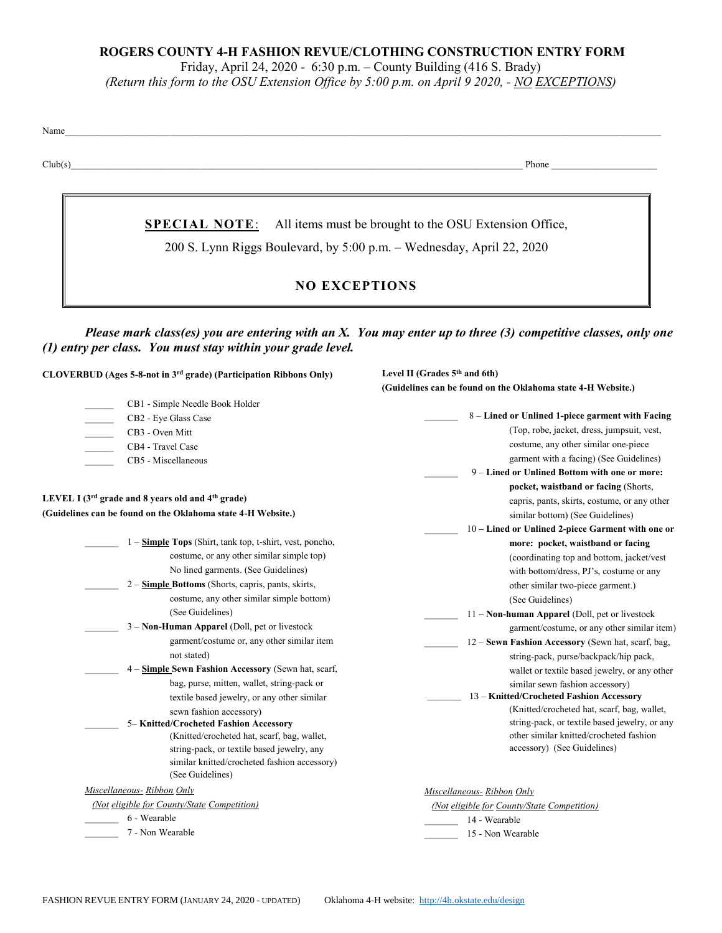### **ROGERS COUNTY 4-H FASHION REVUE/CLOTHING CONSTRUCTION ENTRY FORM**

Friday, April 24, 2020 - 6:30 p.m. – County Building (416 S. Brady)

*(Return this form to the OSU Extension Office by 5:00 p.m. on April 9 2020, - NO EXCEPTIONS)*

Name

Club(s)\_\_\_\_\_\_\_\_\_\_\_\_\_\_\_\_\_\_\_\_\_\_\_\_\_\_\_\_\_\_\_\_\_\_\_\_\_\_\_\_\_\_\_\_\_\_\_\_\_\_\_\_\_\_\_\_\_\_\_\_\_\_\_\_\_\_\_\_\_\_\_\_\_\_\_\_\_\_\_\_\_\_\_\_\_\_\_\_\_\_\_\_\_\_ Phone \_\_\_\_\_\_\_\_\_\_\_\_\_\_\_\_\_\_\_\_\_\_

**SPECIAL NOTE**: All items must be brought to the OSU Extension Office,

200 S. Lynn Riggs Boulevard, by 5:00 p.m. – Wednesday, April 22, 2020

## **NO EXCEPTIONS**

*Please mark class(es) you are entering with an X. You may enter up to three (3) competitive classes, only one (1) entry per class. You must stay within your grade level.*

**CLOVERBUD (Ages 5-8-not in 3rd grade) (Participation Ribbons Only)**

| CB1 - Simple Needle Book Holder |
|---------------------------------|
| CB2 - Eye Glass Case            |
| CB <sub>3</sub> - Oven Mitt     |
| CB4 - Travel Case               |
| CB5 - Miscellaneous             |
|                                 |

# **LEVEL I (3rd grade and 8 years old and 4th grade)**

### **(Guidelines can be found on the Oklahoma state 4-H Website.)**

|                                 | 1 – <b>Simple Tops</b> (Shirt, tank top, t-shirt, vest, poncho, |
|---------------------------------|-----------------------------------------------------------------|
|                                 | costume, or any other similar simple top)                       |
|                                 | No lined garments. (See Guidelines)                             |
|                                 | 2 – Simple Bottoms (Shorts, capris, pants, skirts,              |
|                                 | costume, any other similar simple bottom)                       |
|                                 | (See Guidelines)                                                |
|                                 | 3 – Non-Human Apparel (Doll, pet or livestock                   |
|                                 | garment/costume or, any other similar item                      |
|                                 | not stated)                                                     |
|                                 | 4 – Simple Sewn Fashion Accessory (Sewn hat, scarf,             |
|                                 | bag, purse, mitten, wallet, string-pack or                      |
|                                 | textile based jewelry, or any other similar                     |
|                                 | sewn fashion accessory)                                         |
|                                 | 5– Knitted/Crocheted Fashion Accessory                          |
|                                 | (Knitted/crocheted hat, scarf, bag, wallet,                     |
|                                 | string-pack, or textile based jewelry, any                      |
|                                 | similar knitted/crocheted fashion accessory)                    |
|                                 | (See Guidelines)                                                |
| $\mathbf{r}$<br>$\overline{11}$ | $P \cdot I$                                                     |

*Miscellaneous- Ribbon Only (Not eligible for County/State Competition)*

\_\_\_\_\_\_\_ 6 - Wearable

\_\_\_\_\_\_\_ 7 - Non Wearable

**Level II (Grades 5th and 6th) (Guidelines can be found on the Oklahoma state 4-H Website.)**

| 8 – Lined or Unlined 1-piece garment with Facing        |
|---------------------------------------------------------|
| (Top, robe, jacket, dress, jumpsuit, vest,              |
| costume, any other similar one-piece                    |
| garment with a facing) (See Guidelines)                 |
| 9 - Lined or Unlined Bottom with one or more:           |
| pocket, waistband or facing (Shorts,                    |
| capris, pants, skirts, costume, or any other            |
| similar bottom) (See Guidelines)                        |
| 10 – Lined or Unlined 2-piece Garment with one or       |
| more: pocket, waistband or facing                       |
| (coordinating top and bottom, jacket/vest)              |
| with bottom/dress, PJ's, costume or any                 |
| other similar two-piece garment.)                       |
| (See Guidelines)                                        |
| $11 - \text{Non-human Apparel}$ (Doll, pet or livestock |
| garment/costume, or any other similar item)             |
| 12 - Sewn Fashion Accessory (Sewn hat, scarf, bag,      |
| string-pack, purse/backpack/hip pack,                   |
| wallet or textile based jewelry, or any other           |
| similar sewn fashion accessory)                         |
| 13 - Knitted/Crocheted Fashion Accessory                |
| (Knitted/crocheted hat, scarf, bag, wallet,             |
| string-pack, or textile based jewelry, or any           |
| other similar knitted/crocheted fashion                 |
| accessory) (See Guidelines)                             |
|                                                         |
|                                                         |
| Miscellaneous- Ribbon Only                              |
| (Not eligible for County/State Competition)             |

\_\_\_\_\_\_\_ 14 - Wearable

15 - Non Wearable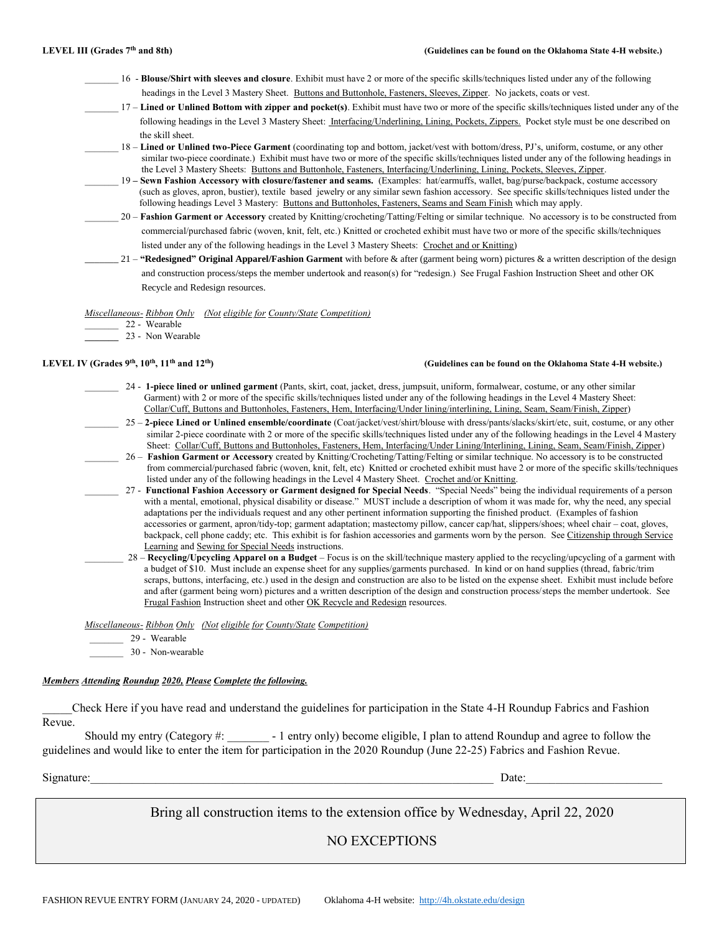- \_\_\_\_\_\_\_ 16 **Blouse/Shirt with sleeves and closure**. Exhibit must have 2 or more of the specific skills/techniques listed under any of the following headings in the Level 3 Mastery Sheet. Buttons and Buttonhole, Fasteners, Sleeves, Zipper. No jackets, coats or vest.
- \_\_\_\_\_\_\_ 17 **Lined or Unlined Bottom with zipper and pocket(s)**. Exhibit must have two or more of the specific skills/techniques listed under any of the following headings in the Level 3 Mastery Sheet: Interfacing/Underlining, Lining, Pockets, Zippers. Pocket style must be one described on the skill sheet.
- \_\_\_\_\_\_\_ 18 **Lined or Unlined two-Piece Garment** (coordinating top and bottom, jacket/vest with bottom/dress, PJ's, uniform, costume, or any other similar two-piece coordinate.) Exhibit must have two or more of the specific skills/techniques listed under any of the following headings in the Level 3 Mastery Sheets: Buttons and Buttonhole, Fasteners, Interfacing/Underlining, Lining, Pockets, Sleeves, Zipper.
	- \_\_\_\_\_\_\_ 19 **– Sewn Fashion Accessory with closure/fastener and seams.** (Examples: hat/earmuffs, wallet, bag/purse/backpack, costume accessory (such as gloves, apron, bustier), textile based jewelry or any similar sewn fashion accessory. See specific skills/techniques listed under the following headings Level 3 Mastery: Buttons and Buttonholes, Fasteners, Seams and Seam Finish which may apply.
- \_\_\_\_\_\_\_ 20 **Fashion Garment or Accessory** created by Knitting/crocheting/Tatting/Felting or similar technique. No accessory is to be constructed from commercial/purchased fabric (woven, knit, felt, etc.) Knitted or crocheted exhibit must have two or more of the specific skills/techniques listed under any of the following headings in the Level 3 Mastery Sheets: Crochet and or Knitting)
- \_\_\_\_\_\_\_ 21 **"Redesigned" Original Apparel/Fashion Garment** with before & after (garment being worn) pictures & a written description of the design and construction process/steps the member undertook and reason(s) for "redesign.) See Frugal Fashion Instruction Sheet and other OK Recycle and Redesign resources.

*Miscellaneous- Ribbon Only (Not eligible for County/State Competition)*

\_\_\_\_\_\_\_ 22 - Wearable

**\_\_\_\_\_\_\_** 23 - Non Wearable

### LEVEL IV (Grades 9<sup>th</sup>, 10<sup>th</sup>, 11<sup>th</sup> and 12<sup>th</sup>) *(Guidelines can be found on the Oklahoma State 4-H website.)*

- \_\_\_\_\_\_\_ 24 **1-piece lined or unlined garment** (Pants, skirt, coat, jacket, dress, jumpsuit, uniform, formalwear, costume, or any other similar Garment) with 2 or more of the specific skills/techniques listed under any of the following headings in the Level 4 Mastery Sheet: Collar/Cuff, Buttons and Buttonholes, Fasteners, Hem, Interfacing/Under lining/interlining, Lining, Seam, Seam/Finish, Zipper)
- \_\_\_\_\_\_\_ 25 **2-piece Lined or Unlined ensemble/coordinate** (Coat/jacket/vest/shirt/blouse with dress/pants/slacks/skirt/etc, suit, costume, or any other similar 2-piece coordinate with 2 or more of the specific skills/techniques listed under any of the following headings in the Level 4 Mastery Sheet: Collar/Cuff, Buttons and Buttonholes, Fasteners, Hem, Interfacing/Under Lining/Interlining, Lining, Seam, Seam/Finish, Zipper)
	- \_\_\_\_\_\_\_ 26 **Fashion Garment or Accessory** created by Knitting/Crocheting/Tatting/Felting or similar technique. No accessory is to be constructed from commercial/purchased fabric (woven, knit, felt, etc) Knitted or crocheted exhibit must have 2 or more of the specific skills/techniques listed under any of the following headings in the Level 4 Mastery Sheet. Crochet and/or Knitting.
- \_\_\_\_\_\_\_ 27 **Functional Fashion Accessory or Garment designed for Special Needs**. "Special Needs" being the individual requirements of a person with a mental, emotional, physical disability or disease." MUST include a description of whom it was made for, why the need, any special adaptations per the individuals request and any other pertinent information supporting the finished product. (Examples of fashion accessories or garment, apron/tidy-top; garment adaptation; mastectomy pillow, cancer cap/hat, slippers/shoes; wheel chair – coat, gloves, backpack, cell phone caddy; etc. This exhibit is for fashion accessories and garments worn by the person. See Citizenship through Service Learning and Sewing for Special Needs instructions.
- \_\_\_\_\_\_\_\_ 28 **Recycling/Upcycling Apparel on a Budget** Focus is on the skill/technique mastery applied to the recycling/upcycling of a garment with a budget of \$10. Must include an expense sheet for any supplies/garments purchased. In kind or on hand supplies (thread, fabric/trim scraps, buttons, interfacing, etc.) used in the design and construction are also to be listed on the expense sheet. Exhibit must include before and after (garment being worn) pictures and a written description of the design and construction process/steps the member undertook. See Frugal Fashion Instruction sheet and other OK Recycle and Redesign resources.

*Miscellaneous- Ribbon Only (Not eligible for County/State Competition)*

- \_\_\_\_\_\_\_ 29 Wearable
- 30 Non-wearable

### *Members Attending Roundup 2020, Please Complete the following.*

\_\_\_\_\_Check Here if you have read and understand the guidelines for participation in the State 4-H Roundup Fabrics and Fashion Revue.

Should my entry (Category #: \_\_\_\_\_\_\_ - 1 entry only) become eligible, I plan to attend Roundup and agree to follow the guidelines and would like to enter the item for participation in the 2020 Roundup (June 22-25) Fabrics and Fashion Revue.

Signature:\_\_\_\_\_\_\_\_\_\_\_\_\_\_\_\_\_\_\_\_\_\_\_\_\_\_\_\_\_\_\_\_\_\_\_\_\_\_\_\_\_\_\_\_\_\_\_\_\_\_\_\_\_\_\_\_\_\_\_\_\_\_\_\_\_\_\_\_ Date:\_\_\_\_\_\_\_\_\_\_\_\_\_\_\_\_\_\_\_\_\_\_\_

Bring all construction items to the extension office by Wednesday, April 22, 2020

NO EXCEPTIONS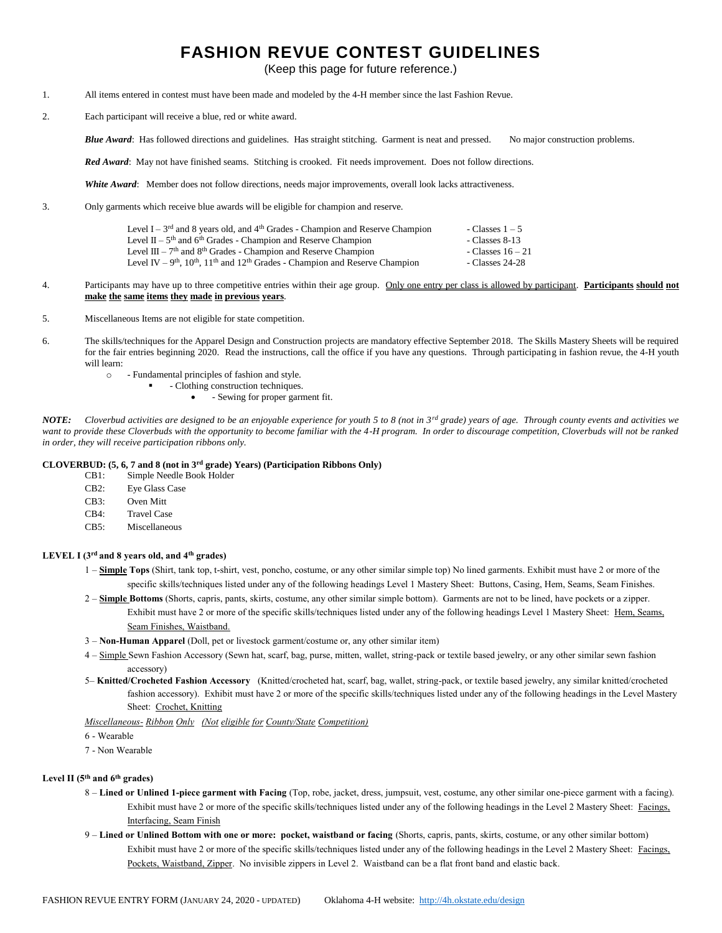# **FASHION REVUE CONTEST GUIDELINES**

(Keep this page for future reference.)

- 1. All items entered in contest must have been made and modeled by the 4-H member since the last Fashion Revue.
- 2. Each participant will receive a blue, red or white award.

*Blue Award*: Has followed directions and guidelines. Has straight stitching. Garment is neat and pressed. No major construction problems.

*Red Award*: May not have finished seams. Stitching is crooked. Fit needs improvement. Does not follow directions.

*White Award*: Member does not follow directions, needs major improvements, overall look lacks attractiveness.

3. Only garments which receive blue awards will be eligible for champion and reserve.

| Level I – $3^{rd}$ and 8 years old, and $4^{th}$ Grades - Champion and Reserve Champion | - Classes $1-5$   |
|-----------------------------------------------------------------------------------------|-------------------|
| Level $II - 5th$ and $6th$ Grades - Champion and Reserve Champion                       | - Classes 8-13    |
| Level $III - 7th$ and $8th$ Grades - Champion and Reserve Champion                      | - Classes $16-21$ |
| Level IV – $9th$ , $10th$ , $11th$ and $12th$ Grades - Champion and Reserve Champion    | - Classes 24-28   |

- 4. Participants may have up to three competitive entries within their age group. Only one entry per class is allowed by participant. **Participants should not make the same items they made in previous years**.
- 5. Miscellaneous Items are not eligible for state competition.
- 6. The skills/techniques for the Apparel Design and Construction projects are mandatory effective September 2018. The Skills Mastery Sheets will be required for the fair entries beginning 2020. Read the instructions, call the office if you have any questions. Through participating in fashion revue, the 4-H youth will learn:
	- o Fundamental principles of fashion and style.
		- Clothing construction techniques.
			- Sewing for proper garment fit.

*NOTE: Cloverbud activities are designed to be an enjoyable experience for youth 5 to 8 (not in 3rd grade) years of age. Through county events and activities we*  want to provide these Cloverbuds with the opportunity to become familiar with the 4-H program. In order to discourage competition, Cloverbuds will not be ranked *in order, they will receive participation ribbons only.*

### **CLOVERBUD: (5, 6, 7 and 8 (not in 3rd grade) Years) (Participation Ribbons Only)**

- CB1: Simple Needle Book Holder
- CB2: Eye Glass Case
- CB3: Oven Mitt
- CB4: Travel Case
- CB5: Miscellaneous

### **LEVEL I (3rd and 8 years old, and 4th grades)**

- 1 **Simple Tops** (Shirt, tank top, t-shirt, vest, poncho, costume, or any other similar simple top) No lined garments. Exhibit must have 2 or more of the specific skills/techniques listed under any of the following headings Level 1 Mastery Sheet: Buttons, Casing, Hem, Seams, Seam Finishes.
- 2 **Simple Bottoms** (Shorts, capris, pants, skirts, costume, any other similar simple bottom). Garments are not to be lined, have pockets or a zipper. Exhibit must have 2 or more of the specific skills/techniques listed under any of the following headings Level 1 Mastery Sheet: Hem, Seams, Seam Finishes, Waistband.
- 3 **Non-Human Apparel** (Doll, pet or livestock garment/costume or, any other similar item)
- 4 Simple Sewn Fashion Accessory (Sewn hat, scarf, bag, purse, mitten, wallet, string-pack or textile based jewelry, or any other similar sewn fashion accessory)
- 5– **Knitted/Crocheted Fashion Accessory** (Knitted/crocheted hat, scarf, bag, wallet, string-pack, or textile based jewelry, any similar knitted/crocheted fashion accessory). Exhibit must have 2 or more of the specific skills/techniques listed under any of the following headings in the Level Mastery Sheet: Crochet, Knitting

*Miscellaneous- Ribbon Only (Not eligible for County/State Competition)*

6 - Wearable

7 - Non Wearable

### **Level II (5th and 6th grades)**

- 8 **Lined or Unlined 1-piece garment with Facing** (Top, robe, jacket, dress, jumpsuit, vest, costume, any other similar one-piece garment with a facing). Exhibit must have 2 or more of the specific skills/techniques listed under any of the following headings in the Level 2 Mastery Sheet: Facings, Interfacing, Seam Finish
- 9 **Lined or Unlined Bottom with one or more: pocket, waistband or facing** (Shorts, capris, pants, skirts, costume, or any other similar bottom) Exhibit must have 2 or more of the specific skills/techniques listed under any of the following headings in the Level 2 Mastery Sheet: Facings, Pockets, Waistband, Zipper. No invisible zippers in Level 2. Waistband can be a flat front band and elastic back.